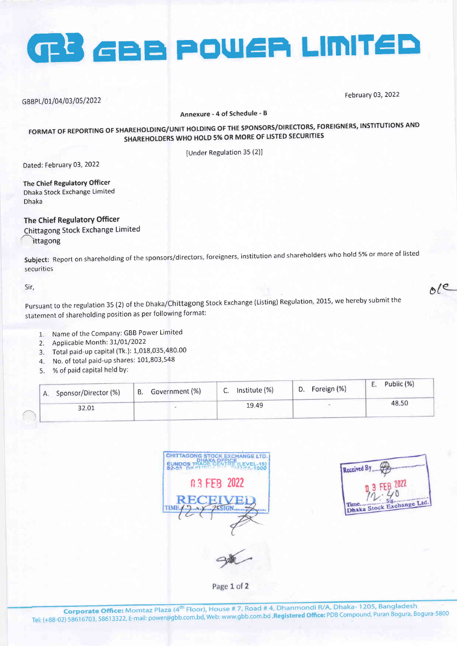

GBBPL/01/04/03/05/2022

February 03, 2022

Annexure - 4 of Schedule - B

# FORMAT OF REPORTING OF SHAREHOLDING/UNIT HOLDING OF THE SPONSORS/DIRECTORS, FOREIGNERS, INSTITUTIONS AND SHAREHOLDERS WHO HOLD 5% OR MORE OF LISTED SECURITIES

[Under Regulation 35 (2)]

Dated: February 03, 2022

The Chief Regulatory Officer Dhaka Stock Exchange Limited **Dhaka** 

# The Chief Regulatory Officer

Chittagong Stock Exchange Limited ittagong

Subject: Report on shareholding of the sponsors/directors, foreigners, institution and shareholders who hold 5% or more of listed securities

Sir.

Pursuant to the regulation 35 (2) of the Dhaka/Chittagong Stock Exchange (Listing) Regulation, 2015, we hereby submit the statement of shareholding position as per following format:

- 1. Name of the Company: GBB Power Limited
- 2. Applicable Month: 31/01/2022
- 3. Total paid-up capital (Tk.): 1,018,035,480.00
- 4. No. of total paid-up shares: 101,803,548
- 5. % of paid capital held by:

| Sponsor/Director (%) | Government (%) | Institute (%) | Foreign (%) | Public (%) |
|----------------------|----------------|---------------|-------------|------------|
| Α.                   | <b>B.</b>      | Ć.            | D.          | <b>L</b> + |
| 32.01                |                | 19.49         |             | 48.50      |

| n 3 FEB 2022           | DE CENTRE (LEVEL-15) |
|------------------------|----------------------|
|                        |                      |
| H.<br><b>SSIGN</b><br> |                      |
|                        |                      |

| eccived By               |  |
|--------------------------|--|
| 2022                     |  |
| haka Stock Exchange Ltd. |  |

 $A/e$ 

Page 1 of 2

Corporate Office: Momtaz Plaza (4<sup>th</sup> Floor), House # 7, Road # 4, Dhanmondi R/A, Dhaka-1205, Bangladesh Tel: (+88-02) 58616703, 58613322, E-mail: power@gbb.com.bd, Web: www.gbb.com.bd , Registered Office: PDB Compound, Puran Bogura, Bogura-5800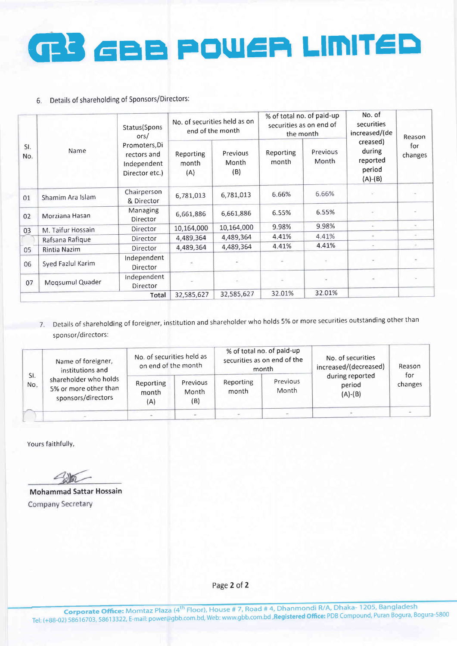# GBB POWER LINITED

### 6. Details of shareholding of Sponsors/Directors:

| SI.<br>No. | Name              | Status(Spons<br>ors/<br>Promoters, Di<br>rectors and<br>Independent<br>Director etc.) | No. of securities held as on<br>end of the month |                                | % of total no. of paid-up<br>securities as on end of<br>the month |                   | No. of<br>securities<br>increased/(de                 | Reason         |
|------------|-------------------|---------------------------------------------------------------------------------------|--------------------------------------------------|--------------------------------|-------------------------------------------------------------------|-------------------|-------------------------------------------------------|----------------|
|            |                   |                                                                                       | Reporting<br>month<br>(A)                        | Previous<br>Month<br>(B)       | Reporting<br>month                                                | Previous<br>Month | creased)<br>during<br>reported<br>period<br>$(A)-(B)$ | for<br>changes |
| 01         | Shamim Ara Islam  | Chairperson<br>& Director                                                             | 6,781,013                                        | 6,781,013                      | 6.66%                                                             | 6.66%             |                                                       |                |
| 02         | Morziana Hasan    | Managing<br>Director                                                                  | 6,661,886                                        | 6,661,886                      | 6.55%                                                             | 6.55%             | ×                                                     |                |
| 03         | M. Taifur Hossain | Director                                                                              | 10,164,000                                       | 10,164,000                     | 9.98%                                                             | 9.98%             | $\sim$                                                | $\sim$         |
|            | Rafsana Rafique   | Director                                                                              | 4,489,364                                        | 4,489,364                      | 4.41%                                                             | 4.41%             |                                                       |                |
| 05         | Rintia Nazim      | Director                                                                              | 4,489,364                                        | 4,489,364                      | 4.41%                                                             | 4.41%             | $\sim$                                                | ×              |
| 06         | Syed Fazlul Karim | Independent<br>Director                                                               |                                                  |                                |                                                                   |                   |                                                       |                |
| 07         | Mogsumul Quader   | Independent<br>Director                                                               |                                                  | $\langle \overline{a} \rangle$ |                                                                   |                   |                                                       |                |
|            |                   | 32,585,627                                                                            | 32,585,627                                       | 32.01%                         | 32.01%                                                            |                   |                                                       |                |

7. Details of shareholding of foreigner, institution and shareholder who holds 5% or more securities outstanding other than sponsor/directors:

|            | Name of foreigner,<br>institutions and<br>shareholder who holds<br>5% or more other than<br>sponsors/directors | No. of securities held as<br>on end of the month |                          | % of total no. of paid-up<br>securities as on end of the<br>month |                   | No. of securities<br>increased/(decreased) | Reason         |
|------------|----------------------------------------------------------------------------------------------------------------|--------------------------------------------------|--------------------------|-------------------------------------------------------------------|-------------------|--------------------------------------------|----------------|
| SI.<br>No. |                                                                                                                | Reporting<br>month<br>(A)                        | Previous<br>Month<br>(B) | Reporting<br>month                                                | Previous<br>Month | during reported<br>period<br>$(A)$ - $(B)$ | for<br>changes |
|            |                                                                                                                |                                                  |                          |                                                                   |                   |                                            |                |

Yours faithfully,

Mohammad Sattar Hossain Company Secretary

Page 2 of 2